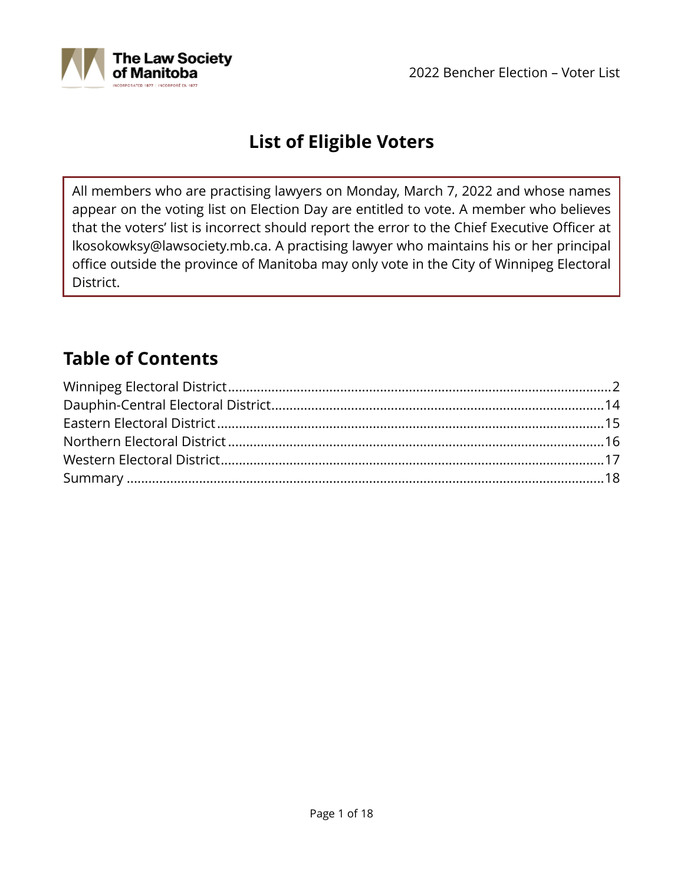

## **List of Eligible Voters**

All members who are practising lawyers on Monday, March 7, 2022 and whose names appear on the voting list on Election Day are entitled to vote. A member who believes that the voters' list is incorrect should report the error to the Chief Executive Officer at lkosokowksy@lawsociety.mb.ca. A practising lawyer who maintains his or her principal office outside the province of Manitoba may only vote in the City of Winnipeg Electoral District.

## **Table of Contents**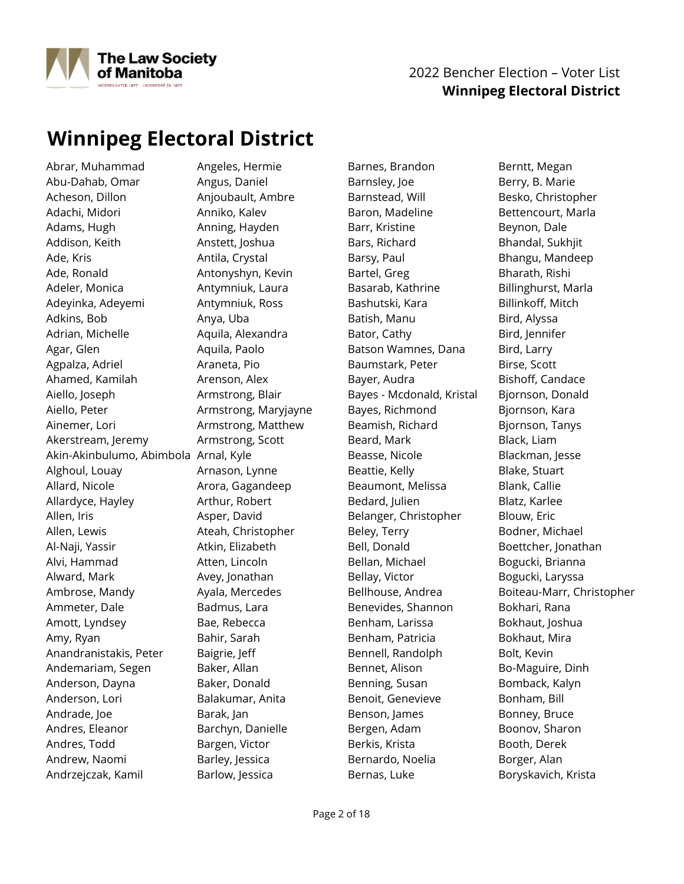

# <span id="page-1-0"></span>**Winnipeg Electoral District**

Abrar, Muhammad Abu-Dahab, Omar Acheson, Dillon Adachi, Midori Adams, Hugh Addison, Keith Ade, Kris Ade, Ronald Adeler, Monica Adeyinka, Adeyemi Adkins, Bob Adrian, Michelle Agar, Glen Agpalza, Adriel Ahamed, Kamilah Aiello, Joseph Aiello, Peter Ainemer, Lori Akerstream, Jeremy Akin-Akinbulumo, Abimbola Arnal, Kyle Alghoul, Louay Allard, Nicole Allardyce, Hayley Allen, Iris Allen, Lewis Al-Naji, Yassir Alvi, Hammad Alward, Mark Ambrose, Mandy Ammeter, Dale Amott, Lyndsey Amy, Ryan Anandranistakis, Peter Andemariam, Segen Anderson, Dayna Anderson, Lori Andrade, Joe Andres, Eleanor Andres, Todd Andrew, Naomi Andrzejczak, Kamil

Angeles, Hermie Angus, Daniel Anjoubault, Ambre Anniko, Kalev Anning, Hayden Anstett, Joshua Antila, Crystal Antonyshyn, Kevin Antymniuk, Laura Antymniuk, Ross Anya, Uba Aquila, Alexandra Aquila, Paolo Araneta, Pio Arenson, Alex Armstrong, Blair Armstrong, Maryjayne Armstrong, Matthew Armstrong, Scott Arnason, Lynne Arora, Gagandeep Arthur, Robert Asper, David Ateah, Christopher Atkin, Elizabeth Atten, Lincoln Avey, Jonathan Ayala, Mercedes Badmus, Lara Bae, Rebecca Bahir, Sarah Baigrie, Jeff Baker, Allan Baker, Donald Balakumar, Anita Barak, Jan Barchyn, Danielle Bargen, Victor Barley, Jessica Barlow, Jessica

Barnes, Brandon Barnsley, Joe Barnstead, Will Baron, Madeline Barr, Kristine Bars, Richard Barsy, Paul Bartel, Greg Basarab, Kathrine Bashutski, Kara Batish, Manu Bator, Cathy Batson Wamnes, Dana Baumstark, Peter Bayer, Audra Bayes - Mcdonald, Kristal Bayes, Richmond Beamish, Richard Beard, Mark Beasse, Nicole Beattie, Kelly Beaumont, Melissa Bedard, Julien Belanger, Christopher Beley, Terry Bell, Donald Bellan, Michael Bellay, Victor Bellhouse, Andrea Benevides, Shannon Benham, Larissa Benham, Patricia Bennell, Randolph Bennet, Alison Benning, Susan Benoit, Genevieve Benson, James Bergen, Adam Berkis, Krista Bernardo, Noelia Bernas, Luke

Berntt, Megan Berry, B. Marie Besko, Christopher Bettencourt, Marla Beynon, Dale Bhandal, Sukhjit Bhangu, Mandeep Bharath, Rishi Billinghurst, Marla Billinkoff, Mitch Bird, Alyssa Bird, Jennifer Bird, Larry Birse, Scott Bishoff, Candace Bjornson, Donald Bjornson, Kara Bjornson, Tanys Black, Liam Blackman, Jesse Blake, Stuart Blank, Callie Blatz, Karlee Blouw, Eric Bodner, Michael Boettcher, Jonathan Bogucki, Brianna Bogucki, Laryssa Boiteau-Marr, Christopher Bokhari, Rana Bokhaut, Joshua Bokhaut, Mira Bolt, Kevin Bo-Maguire, Dinh Bomback, Kalyn Bonham, Bill Bonney, Bruce Boonov, Sharon Booth, Derek Borger, Alan Boryskavich, Krista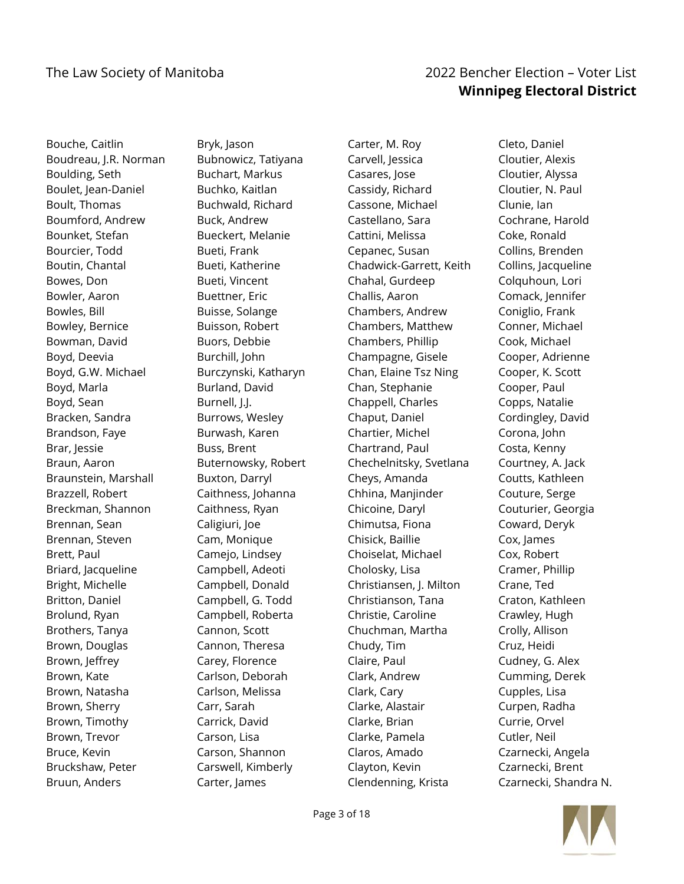Bouche, Caitlin Boudreau, J.R. Norman Boulding, Seth Boulet, Jean-Daniel Boult, Thomas Boumford, Andrew Bounket, Stefan Bourcier, Todd Boutin, Chantal Bowes, Don Bowler, Aaron Bowles, Bill Bowley, Bernice Bowman, David Boyd, Deevia Boyd, G.W. Michael Boyd, Marla Boyd, Sean Bracken, Sandra Brandson, Faye Brar, Jessie Braun, Aaron Braunstein, Marshall Brazzell, Robert Breckman, Shannon Brennan, Sean Brennan, Steven Brett, Paul Briard, Jacqueline Bright, Michelle Britton, Daniel Brolund, Ryan Brothers, Tanya Brown, Douglas Brown, Jeffrey Brown, Kate Brown, Natasha Brown, Sherry Brown, Timothy Brown, Trevor Bruce, Kevin Bruckshaw, Peter Bruun, Anders

Bryk, Jason Bubnowicz, Tatiyana Buchart, Markus Buchko, Kaitlan Buchwald, Richard Buck, Andrew Bueckert, Melanie Bueti, Frank Bueti, Katherine Bueti, Vincent Buettner, Eric Buisse, Solange Buisson, Robert Buors, Debbie Burchill, John Burczynski, Katharyn Burland, David Burnell, J.J. Burrows, Wesley Burwash, Karen Buss, Brent Buternowsky, Robert Buxton, Darryl Caithness, Johanna Caithness, Ryan Caligiuri, Joe Cam, Monique Camejo, Lindsey Campbell, Adeoti Campbell, Donald Campbell, G. Todd Campbell, Roberta Cannon, Scott Cannon, Theresa Carey, Florence Carlson, Deborah Carlson, Melissa Carr, Sarah Carrick, David Carson, Lisa Carson, Shannon Carswell, Kimberly Carter, James

Carter, M. Roy Carvell, Jessica Casares, Jose Cassidy, Richard Cassone, Michael Castellano, Sara Cattini, Melissa Cepanec, Susan Chadwick-Garrett, Keith Chahal, Gurdeep Challis, Aaron Chambers, Andrew Chambers, Matthew Chambers, Phillip Champagne, Gisele Chan, Elaine Tsz Ning Chan, Stephanie Chappell, Charles Chaput, Daniel Chartier, Michel Chartrand, Paul Chechelnitsky, Svetlana Cheys, Amanda Chhina, Manjinder Chicoine, Daryl Chimutsa, Fiona Chisick, Baillie Choiselat, Michael Cholosky, Lisa Christiansen, J. Milton Christianson, Tana Christie, Caroline Chuchman, Martha Chudy, Tim Claire, Paul Clark, Andrew Clark, Cary Clarke, Alastair Clarke, Brian Clarke, Pamela Claros, Amado Clayton, Kevin Clendenning, Krista

Cleto, Daniel Cloutier, Alexis Cloutier, Alyssa Cloutier, N. Paul Clunie, Ian Cochrane, Harold Coke, Ronald Collins, Brenden Collins, Jacqueline Colquhoun, Lori Comack, Jennifer Coniglio, Frank Conner, Michael Cook, Michael Cooper, Adrienne Cooper, K. Scott Cooper, Paul Copps, Natalie Cordingley, David Corona, John Costa, Kenny Courtney, A. Jack Coutts, Kathleen Couture, Serge Couturier, Georgia Coward, Deryk Cox, James Cox, Robert Cramer, Phillip Crane, Ted Craton, Kathleen Crawley, Hugh Crolly, Allison Cruz, Heidi Cudney, G. Alex Cumming, Derek Cupples, Lisa Curpen, Radha Currie, Orvel Cutler, Neil Czarnecki, Angela Czarnecki, Brent Czarnecki, Shandra N.

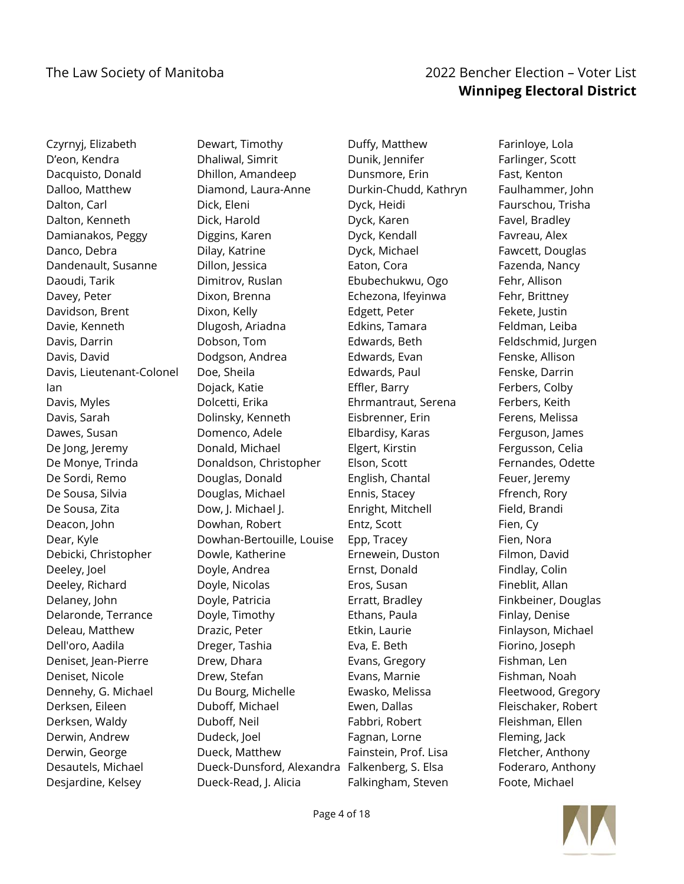Czyrnyj, Elizabeth D'eon, Kendra Dacquisto, Donald Dalloo, Matthew Dalton, Carl Dalton, Kenneth Damianakos, Peggy Danco, Debra Dandenault, Susanne Daoudi, Tarik Davey, Peter Davidson, Brent Davie, Kenneth Davis, Darrin Davis, David Davis, Lieutenant-Colonel Ian Davis, Myles Davis, Sarah Dawes, Susan De Jong, Jeremy De Monye, Trinda De Sordi, Remo De Sousa, Silvia De Sousa, Zita Deacon, John Dear, Kyle Debicki, Christopher Deeley, Joel Deeley, Richard Delaney, John Delaronde, Terrance Deleau, Matthew Dell'oro, Aadila Deniset, Jean-Pierre Deniset, Nicole Dennehy, G. Michael Derksen, Eileen Derksen, Waldy Derwin, Andrew Derwin, George Desautels, Michael Desjardine, Kelsey

Dewart, Timothy Dhaliwal, Simrit Dhillon, Amandeep Diamond, Laura-Anne Dick, Eleni Dick, Harold Diggins, Karen Dilay, Katrine Dillon, Jessica Dimitrov, Ruslan Dixon, Brenna Dixon, Kelly Dlugosh, Ariadna Dobson, Tom Dodgson, Andrea Doe, Sheila Dojack, Katie Dolcetti, Erika Dolinsky, Kenneth Domenco, Adele Donald, Michael Donaldson, Christopher Douglas, Donald Douglas, Michael Dow, J. Michael J. Dowhan, Robert Dowhan-Bertouille, Louise Dowle, Katherine Doyle, Andrea Doyle, Nicolas Doyle, Patricia Doyle, Timothy Drazic, Peter Dreger, Tashia Drew, Dhara Drew, Stefan Du Bourg, Michelle Duboff, Michael Duboff, Neil Dudeck, Joel Dueck, Matthew Dueck-Dunsford, Alexandra Falkenberg, S. Elsa Dueck-Read, J. Alicia

Duffy, Matthew Dunik, Jennifer Dunsmore, Erin Durkin-Chudd, Kathryn Dyck, Heidi Dyck, Karen Dyck, Kendall Dyck, Michael Eaton, Cora Ebubechukwu, Ogo Echezona, Ifeyinwa Edgett, Peter Edkins, Tamara Edwards, Beth Edwards, Evan Edwards, Paul Effler, Barry Ehrmantraut, Serena Eisbrenner, Erin Elbardisy, Karas Elgert, Kirstin Elson, Scott English, Chantal Ennis, Stacey Enright, Mitchell Entz, Scott Epp, Tracey Ernewein, Duston Ernst, Donald Eros, Susan Erratt, Bradley Ethans, Paula Etkin, Laurie Eva, E. Beth Evans, Gregory Evans, Marnie Ewasko, Melissa Ewen, Dallas Fabbri, Robert Fagnan, Lorne Fainstein, Prof. Lisa Falkingham, Steven

Farinloye, Lola Farlinger, Scott Fast, Kenton Faulhammer, John Faurschou, Trisha Favel, Bradley Favreau, Alex Fawcett, Douglas Fazenda, Nancy Fehr, Allison Fehr, Brittney Fekete, Justin Feldman, Leiba Feldschmid, Jurgen Fenske, Allison Fenske, Darrin Ferbers, Colby Ferbers, Keith Ferens, Melissa Ferguson, James Fergusson, Celia Fernandes, Odette Feuer, Jeremy Ffrench, Rory Field, Brandi Fien, Cy Fien, Nora Filmon, David Findlay, Colin Fineblit, Allan Finkbeiner, Douglas Finlay, Denise Finlayson, Michael Fiorino, Joseph Fishman, Len Fishman, Noah Fleetwood, Gregory Fleischaker, Robert Fleishman, Ellen Fleming, Jack Fletcher, Anthony Foderaro, Anthony Foote, Michael

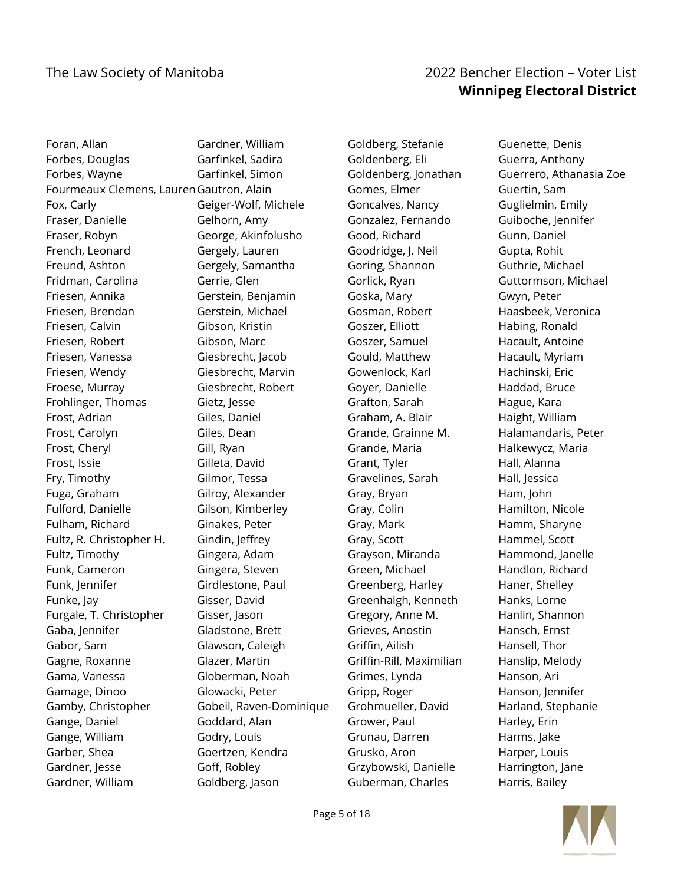Foran, Allan Forbes, Douglas Forbes, Wayne Fourmeaux Clemens, Lauren Gautron, Alain Fox, Carly Fraser, Danielle Fraser, Robyn French, Leonard Freund, Ashton Fridman, Carolina Friesen, Annika Friesen, Brendan Friesen, Calvin Friesen, Robert Friesen, Vanessa Friesen, Wendy Froese, Murray Frohlinger, Thomas Frost, Adrian Frost, Carolyn Frost, Cheryl Frost, Issie Fry, Timothy Fuga, Graham Fulford, Danielle Fulham, Richard Fultz, R. Christopher H. Fultz, Timothy Funk, Cameron Funk, Jennifer Funke, Jay Furgale, T. Christopher Gaba, Jennifer Gabor, Sam Gagne, Roxanne Gama, Vanessa Gamage, Dinoo Gamby, Christopher Gange, Daniel Gange, William Garber, Shea Gardner, Jesse Gardner, William

Gardner, William Garfinkel, Sadira Garfinkel, Simon Geiger-Wolf, Michele Gelhorn, Amy George, Akinfolusho Gergely, Lauren Gergely, Samantha Gerrie, Glen Gerstein, Benjamin Gerstein, Michael Gibson, Kristin Gibson, Marc Giesbrecht, Jacob Giesbrecht, Marvin Giesbrecht, Robert Gietz, Jesse Giles, Daniel Giles, Dean Gill, Ryan Gilleta, David Gilmor, Tessa Gilroy, Alexander Gilson, Kimberley Ginakes, Peter Gindin, Jeffrey Gingera, Adam Gingera, Steven Girdlestone, Paul Gisser, David Gisser, Jason Gladstone, Brett Glawson, Caleigh Glazer, Martin Globerman, Noah Glowacki, Peter Gobeil, Raven-Dominique Goddard, Alan Godry, Louis Goertzen, Kendra Goff, Robley Goldberg, Jason

Goldberg, Stefanie Goldenberg, Eli Goldenberg, Jonathan Gomes, Elmer Goncalves, Nancy Gonzalez, Fernando Good, Richard Goodridge, J. Neil Goring, Shannon Gorlick, Ryan Goska, Mary Gosman, Robert Goszer, Elliott Goszer, Samuel Gould, Matthew Gowenlock, Karl Goyer, Danielle Grafton, Sarah Graham, A. Blair Grande, Grainne M. Grande, Maria Grant, Tyler Gravelines, Sarah Gray, Bryan Gray, Colin Gray, Mark Gray, Scott Grayson, Miranda Green, Michael Greenberg, Harley Greenhalgh, Kenneth Gregory, Anne M. Grieves, Anostin Griffin, Ailish Griffin-Rill, Maximilian Grimes, Lynda Gripp, Roger Grohmueller, David Grower, Paul Grunau, Darren Grusko, Aron Grzybowski, Danielle Guberman, Charles

Guenette, Denis Guerra, Anthony Guerrero, Athanasia Zoe Guertin, Sam Guglielmin, Emily Guiboche, Jennifer Gunn, Daniel Gupta, Rohit Guthrie, Michael Guttormson, Michael Gwyn, Peter Haasbeek, Veronica Habing, Ronald Hacault, Antoine Hacault, Myriam Hachinski, Eric Haddad, Bruce Hague, Kara Haight, William Halamandaris, Peter Halkewycz, Maria Hall, Alanna Hall, Jessica Ham, John Hamilton, Nicole Hamm, Sharyne Hammel, Scott Hammond, Janelle Handlon, Richard Haner, Shelley Hanks, Lorne Hanlin, Shannon Hansch, Ernst Hansell, Thor Hanslip, Melody Hanson, Ari Hanson, Jennifer Harland, Stephanie Harley, Erin Harms, Jake Harper, Louis Harrington, Jane Harris, Bailey

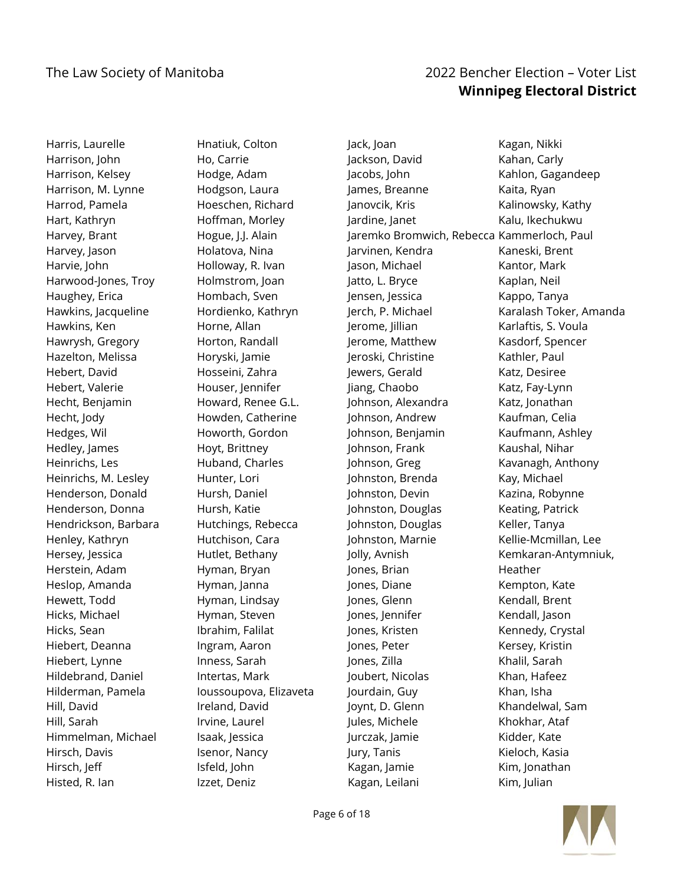Harris, Laurelle Harrison, John Harrison, Kelsey Harrison, M. Lynne Harrod, Pamela Hart, Kathryn Harvey, Brant Harvey, Jason Harvie, John Harwood-Jones, Troy Haughey, Erica Hawkins, Jacqueline Hawkins, Ken Hawrysh, Gregory Hazelton, Melissa Hebert, David Hebert, Valerie Hecht, Benjamin Hecht, Jody Hedges, Wil Hedley, James Heinrichs, Les Heinrichs, M. Lesley Henderson, Donald Henderson, Donna Hendrickson, Barbara Henley, Kathryn Hersey, Jessica Herstein, Adam Heslop, Amanda Hewett, Todd Hicks, Michael Hicks, Sean Hiebert, Deanna Hiebert, Lynne Hildebrand, Daniel Hilderman, Pamela Hill, David Hill, Sarah Himmelman, Michael Hirsch, Davis Hirsch, Jeff Histed, R. Ian

Hnatiuk, Colton Ho, Carrie Hodge, Adam Hodgson, Laura Hoeschen, Richard Hoffman, Morley Hogue, J.J. Alain Holatova, Nina Holloway, R. Ivan Holmstrom, Joan Hombach, Sven Hordienko, Kathryn Horne, Allan Horton, Randall Horyski, Jamie Hosseini, Zahra Houser, Jennifer Howard, Renee G.L. Howden, Catherine Howorth, Gordon Hoyt, Brittney Huband, Charles Hunter, Lori Hursh, Daniel Hursh, Katie Hutchings, Rebecca Hutchison, Cara Hutlet, Bethany Hyman, Bryan Hyman, Janna Hyman, Lindsay Hyman, Steven Ibrahim, Falilat Ingram, Aaron Inness, Sarah Intertas, Mark Ioussoupova, Elizaveta Ireland, David Irvine, Laurel Isaak, Jessica Isenor, Nancy Isfeld, John Izzet, Deniz

Jack, Joan Jackson, David Jacobs, John James, Breanne Janovcik, Kris Jardine, Janet Jaremko Bromwich, Rebecca Kammerloch, Paul Jarvinen, Kendra Jason, Michael Jatto, L. Bryce Jensen, Jessica Jerch, P. Michael Jerome, Jillian Jerome, Matthew Jeroski, Christine Jewers, Gerald Jiang, Chaobo Johnson, Alexandra Johnson, Andrew Johnson, Benjamin Johnson, Frank Johnson, Greg Johnston, Brenda Johnston, Devin Johnston, Douglas Johnston, Douglas Johnston, Marnie Jolly, Avnish Jones, Brian Jones, Diane Jones, Glenn Jones, Jennifer Jones, Kristen Jones, Peter Jones, Zilla Joubert, Nicolas Jourdain, Guy Joynt, D. Glenn Jules, Michele Jurczak, Jamie Jury, Tanis Kagan, Jamie Kagan, Leilani

Kagan, Nikki Kahan, Carly Kahlon, Gagandeep Kaita, Ryan Kalinowsky, Kathy Kalu, Ikechukwu Kaneski, Brent Kantor, Mark Kaplan, Neil Kappo, Tanya Karalash Toker, Amanda Karlaftis, S. Voula Kasdorf, Spencer Kathler, Paul Katz, Desiree Katz, Fay-Lynn Katz, Jonathan Kaufman, Celia Kaufmann, Ashley Kaushal, Nihar Kavanagh, Anthony Kay, Michael Kazina, Robynne Keating, Patrick Keller, Tanya Kellie-Mcmillan, Lee Kemkaran-Antymniuk, Heather Kempton, Kate Kendall, Brent Kendall, Jason Kennedy, Crystal Kersey, Kristin Khalil, Sarah Khan, Hafeez Khan, Isha Khandelwal, Sam Khokhar, Ataf Kidder, Kate Kieloch, Kasia Kim, Jonathan Kim, Julian

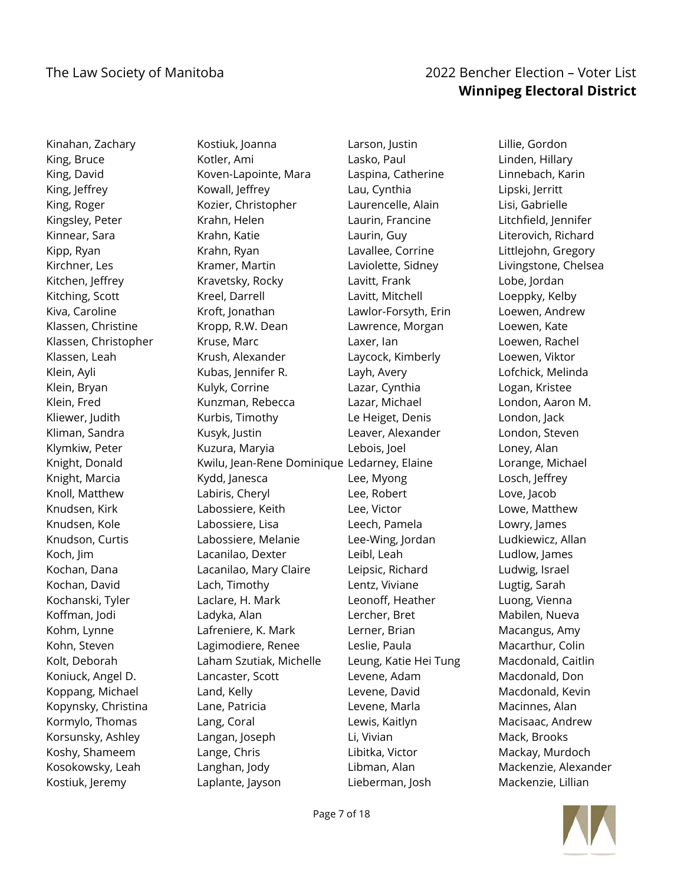Kinahan, Zachary King, Bruce King, David King, Jeffrey King, Roger Kingsley, Peter Kinnear, Sara Kipp, Ryan Kirchner, Les Kitchen, Jeffrey Kitching, Scott Kiva, Caroline Klassen, Christine Klassen, Christopher Klassen, Leah Klein, Ayli Klein, Bryan Klein, Fred Kliewer, Judith Kliman, Sandra Klymkiw, Peter Knight, Donald Knight, Marcia Knoll, Matthew Knudsen, Kirk Knudsen, Kole Knudson, Curtis Koch, Jim Kochan, Dana Kochan, David Kochanski, Tyler Koffman, Jodi Kohm, Lynne Kohn, Steven Kolt, Deborah Koniuck, Angel D. Koppang, Michael Kopynsky, Christina Kormylo, Thomas Korsunsky, Ashley Koshy, Shameem Kosokowsky, Leah Kostiuk, Jeremy

Kostiuk, Joanna Kotler, Ami Koven-Lapointe, Mara Kowall, Jeffrey Kozier, Christopher Krahn, Helen Krahn, Katie Krahn, Ryan Kramer, Martin Kravetsky, Rocky Kreel, Darrell Kroft, Jonathan Kropp, R.W. Dean Kruse, Marc Krush, Alexander Kubas, Jennifer R. Kulyk, Corrine Kunzman, Rebecca Kurbis, Timothy Kusyk, Justin Kuzura, Maryia Kwilu, Jean-Rene Dominique Ledarney, Elaine Kydd, Janesca Labiris, Cheryl Labossiere, Keith Labossiere, Lisa Labossiere, Melanie Lacanilao, Dexter Lacanilao, Mary Claire Lach, Timothy Laclare, H. Mark Ladyka, Alan Lafreniere, K. Mark Lagimodiere, Renee Laham Szutiak, Michelle Lancaster, Scott Land, Kelly Lane, Patricia Lang, Coral Langan, Joseph Lange, Chris Langhan, Jody Laplante, Jayson

Larson, Justin Lasko, Paul Laspina, Catherine Lau, Cynthia Laurencelle, Alain Laurin, Francine Laurin, Guy Lavallee, Corrine Laviolette, Sidney Lavitt, Frank Lavitt, Mitchell Lawlor-Forsyth, Erin Lawrence, Morgan Laxer, Ian Laycock, Kimberly Layh, Avery Lazar, Cynthia Lazar, Michael Le Heiget, Denis Leaver, Alexander Lebois, Joel Lee, Myong Lee, Robert Lee, Victor Leech, Pamela Lee-Wing, Jordan Leibl, Leah Leipsic, Richard Lentz, Viviane Leonoff, Heather Lercher, Bret Lerner, Brian Leslie, Paula Leung, Katie Hei Tung Levene, Adam Levene, David Levene, Marla Lewis, Kaitlyn Li, Vivian Libitka, Victor Libman, Alan Lieberman, Josh

Lillie, Gordon Linden, Hillary Linnebach, Karin Lipski, Jerritt Lisi, Gabrielle Litchfield, Jennifer Literovich, Richard Littlejohn, Gregory Livingstone, Chelsea Lobe, Jordan Loeppky, Kelby Loewen, Andrew Loewen, Kate Loewen, Rachel Loewen, Viktor Lofchick, Melinda Logan, Kristee London, Aaron M. London, Jack London, Steven Loney, Alan Lorange, Michael Losch, Jeffrey Love, Jacob Lowe, Matthew Lowry, James Ludkiewicz, Allan Ludlow, James Ludwig, Israel Lugtig, Sarah Luong, Vienna Mabilen, Nueva Macangus, Amy Macarthur, Colin Macdonald, Caitlin Macdonald, Don Macdonald, Kevin Macinnes, Alan Macisaac, Andrew Mack, Brooks Mackay, Murdoch Mackenzie, Alexander Mackenzie, Lillian

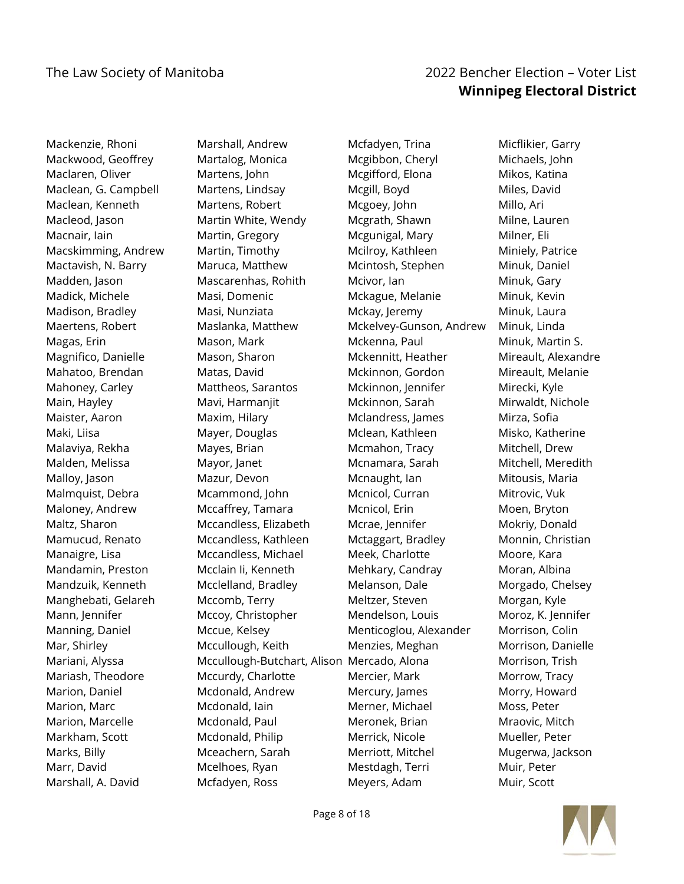Mackenzie, Rhoni Mackwood, Geoffrey Maclaren, Oliver Maclean, G. Campbell Maclean, Kenneth Macleod, Jason Macnair, Iain Macskimming, Andrew Mactavish, N. Barry Madden, Jason Madick, Michele Madison, Bradley Maertens, Robert Magas, Erin Magnifico, Danielle Mahatoo, Brendan Mahoney, Carley Main, Hayley Maister, Aaron Maki, Liisa Malaviya, Rekha Malden, Melissa Malloy, Jason Malmquist, Debra Maloney, Andrew Maltz, Sharon Mamucud, Renato Manaigre, Lisa Mandamin, Preston Mandzuik, Kenneth Manghebati, Gelareh Mann, Jennifer Manning, Daniel Mar, Shirley Mariani, Alyssa Mariash, Theodore Marion, Daniel Marion, Marc Marion, Marcelle Markham, Scott Marks, Billy Marr, David Marshall, A. David

Marshall, Andrew Martalog, Monica Martens, John Martens, Lindsay Martens, Robert Martin White, Wendy Martin, Gregory Martin, Timothy Maruca, Matthew Mascarenhas, Rohith Masi, Domenic Masi, Nunziata Maslanka, Matthew Mason, Mark Mason, Sharon Matas, David Mattheos, Sarantos Mavi, Harmanjit Maxim, Hilary Mayer, Douglas Mayes, Brian Mayor, Janet Mazur, Devon Mcammond, John Mccaffrey, Tamara Mccandless, Elizabeth Mccandless, Kathleen Mccandless, Michael Mcclain Ii, Kenneth Mcclelland, Bradley Mccomb, Terry Mccoy, Christopher Mccue, Kelsey Mccullough, Keith Mccullough-Butchart, Alison Mercado, Alona Mccurdy, Charlotte Mcdonald, Andrew Mcdonald, Iain Mcdonald, Paul Mcdonald, Philip Mceachern, Sarah Mcelhoes, Ryan Mcfadyen, Ross

Mcfadyen, Trina Mcgibbon, Cheryl Mcgifford, Elona Mcgill, Boyd Mcgoey, John Mcgrath, Shawn Mcgunigal, Mary Mcilroy, Kathleen Mcintosh, Stephen Mcivor, Ian Mckague, Melanie Mckay, Jeremy Mckelvey-Gunson, Andrew Mckenna, Paul Mckennitt, Heather Mckinnon, Gordon Mckinnon, Jennifer Mckinnon, Sarah Mclandress, James Mclean, Kathleen Mcmahon, Tracy Mcnamara, Sarah Mcnaught, Ian Mcnicol, Curran Mcnicol, Erin Mcrae, Jennifer Mctaggart, Bradley Meek, Charlotte Mehkary, Candray Melanson, Dale Meltzer, Steven Mendelson, Louis Menticoglou, Alexander Menzies, Meghan Mercier, Mark Mercury, James Merner, Michael Meronek, Brian Merrick, Nicole Merriott, Mitchel Mestdagh, Terri Meyers, Adam

Micflikier, Garry Michaels, John Mikos, Katina Miles, David Millo, Ari Milne, Lauren Milner, Eli Miniely, Patrice Minuk, Daniel Minuk, Gary Minuk, Kevin Minuk, Laura Minuk, Linda Minuk, Martin S. Mireault, Alexandre Mireault, Melanie Mirecki, Kyle Mirwaldt, Nichole Mirza, Sofia Misko, Katherine Mitchell, Drew Mitchell, Meredith Mitousis, Maria Mitrovic, Vuk Moen, Bryton Mokriy, Donald Monnin, Christian Moore, Kara Moran, Albina Morgado, Chelsey Morgan, Kyle Moroz, K. Jennifer Morrison, Colin Morrison, Danielle Morrison, Trish Morrow, Tracy Morry, Howard Moss, Peter Mraovic, Mitch Mueller, Peter Mugerwa, Jackson Muir, Peter Muir, Scott

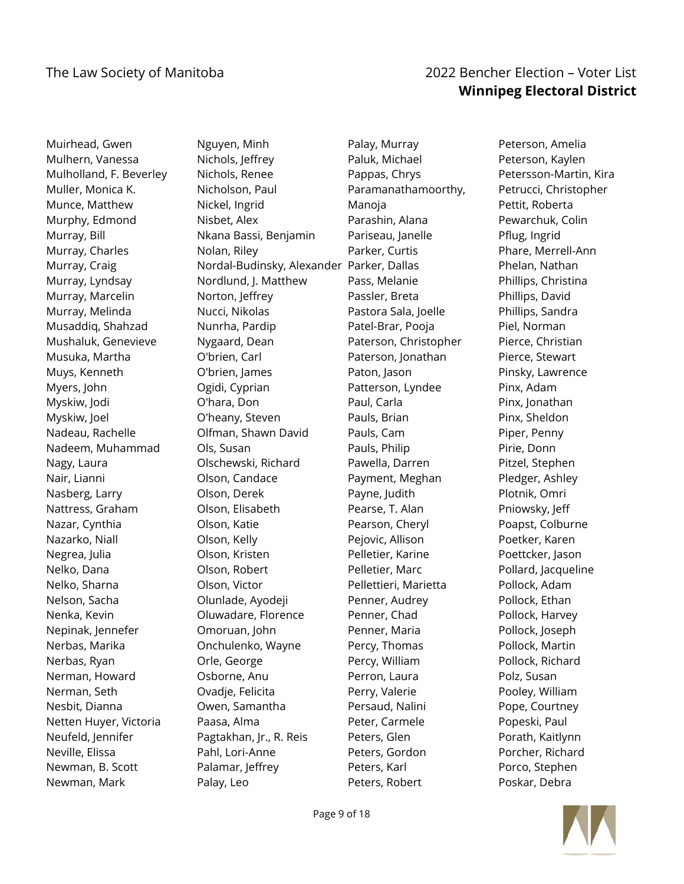Muirhead, Gwen Mulhern, Vanessa Mulholland, F. Beverley Muller, Monica K. Munce, Matthew Murphy, Edmond Murray, Bill Murray, Charles Murray, Craig Murray, Lyndsay Murray, Marcelin Murray, Melinda Musaddiq, Shahzad Mushaluk, Genevieve Musuka, Martha Muys, Kenneth Myers, John Myskiw, Jodi Myskiw, Joel Nadeau, Rachelle Nadeem, Muhammad Nagy, Laura Nair, Lianni Nasberg, Larry Nattress, Graham Nazar, Cynthia Nazarko, Niall Negrea, Julia Nelko, Dana Nelko, Sharna Nelson, Sacha Nenka, Kevin Nepinak, Jennefer Nerbas, Marika Nerbas, Ryan Nerman, Howard Nerman, Seth Nesbit, Dianna Netten Huyer, Victoria Neufeld, Jennifer Neville, Elissa Newman, B. Scott Newman, Mark

Nguyen, Minh Nichols, Jeffrey Nichols, Renee Nicholson, Paul Nickel, Ingrid Nisbet, Alex Nkana Bassi, Benjamin Nolan, Riley Nordal-Budinsky, Alexander Parker, Dallas Nordlund, J. Matthew Norton, Jeffrey Nucci, Nikolas Nunrha, Pardip Nygaard, Dean O'brien, Carl O'brien, James Ogidi, Cyprian O'hara, Don O'heany, Steven Olfman, Shawn David Ols, Susan Olschewski, Richard Olson, Candace Olson, Derek Olson, Elisabeth Olson, Katie Olson, Kelly Olson, Kristen Olson, Robert Olson, Victor Olunlade, Ayodeji Oluwadare, Florence Omoruan, John Onchulenko, Wayne Orle, George Osborne, Anu Ovadje, Felicita Owen, Samantha Paasa, Alma Pagtakhan, Jr., R. Reis Pahl, Lori-Anne Palamar, Jeffrey Palay, Leo

Palay, Murray Paluk, Michael Pappas, Chrys Paramanathamoorthy, Manoja Parashin, Alana Pariseau, Janelle Parker, Curtis Pass, Melanie Passler, Breta Pastora Sala, Joelle Patel-Brar, Pooja Paterson, Christopher Paterson, Jonathan Paton, Jason Patterson, Lyndee Paul, Carla Pauls, Brian Pauls, Cam Pauls, Philip Pawella, Darren Payment, Meghan Payne, Judith Pearse, T. Alan Pearson, Cheryl Pejovic, Allison Pelletier, Karine Pelletier, Marc Pellettieri, Marietta Penner, Audrey Penner, Chad Penner, Maria Percy, Thomas Percy, William Perron, Laura Perry, Valerie Persaud, Nalini Peter, Carmele Peters, Glen Peters, Gordon Peters, Karl Peters, Robert

Peterson, Amelia Peterson, Kaylen Petersson-Martin, Kira Petrucci, Christopher Pettit, Roberta Pewarchuk, Colin Pflug, Ingrid Phare, Merrell-Ann Phelan, Nathan Phillips, Christina Phillips, David Phillips, Sandra Piel, Norman Pierce, Christian Pierce, Stewart Pinsky, Lawrence Pinx, Adam Pinx, Jonathan Pinx, Sheldon Piper, Penny Pirie, Donn Pitzel, Stephen Pledger, Ashley Plotnik, Omri Pniowsky, Jeff Poapst, Colburne Poetker, Karen Poettcker, Jason Pollard, Jacqueline Pollock, Adam Pollock, Ethan Pollock, Harvey Pollock, Joseph Pollock, Martin Pollock, Richard Polz, Susan Pooley, William Pope, Courtney Popeski, Paul Porath, Kaitlynn Porcher, Richard Porco, Stephen Poskar, Debra

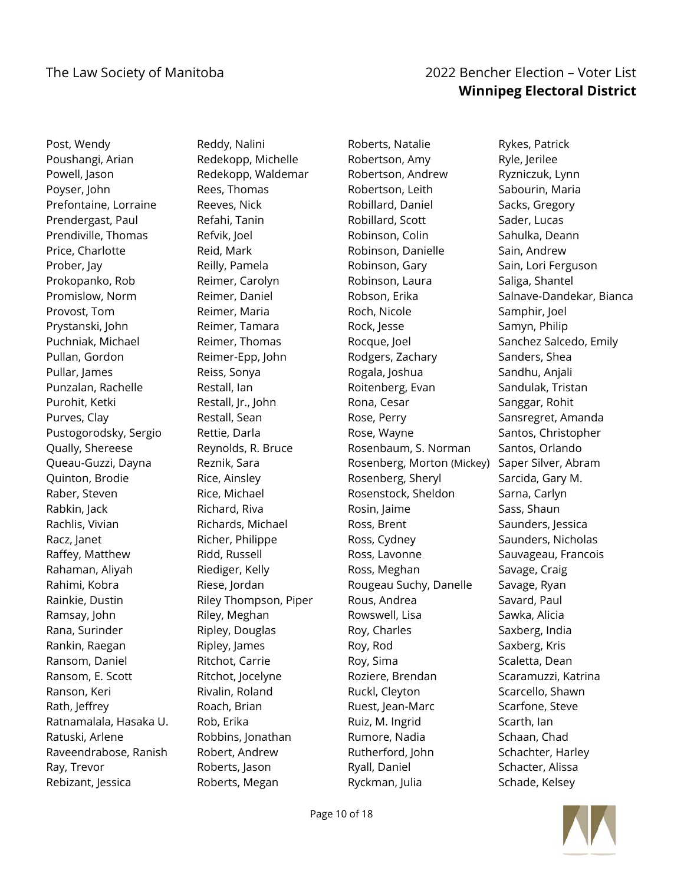Post, Wendy Poushangi, Arian Powell, Jason Poyser, John Prefontaine, Lorraine Prendergast, Paul Prendiville, Thomas Price, Charlotte Prober, Jay Prokopanko, Rob Promislow, Norm Provost, Tom Prystanski, John Puchniak, Michael Pullan, Gordon Pullar, James Punzalan, Rachelle Purohit, Ketki Purves, Clay Pustogorodsky, Sergio Qually, Shereese Queau-Guzzi, Dayna Quinton, Brodie Raber, Steven Rabkin, Jack Rachlis, Vivian Racz, Janet Raffey, Matthew Rahaman, Aliyah Rahimi, Kobra Rainkie, Dustin Ramsay, John Rana, Surinder Rankin, Raegan Ransom, Daniel Ransom, E. Scott Ranson, Keri Rath, Jeffrey Ratnamalala, Hasaka U. Ratuski, Arlene Raveendrabose, Ranish Ray, Trevor Rebizant, Jessica

Reddy, Nalini Redekopp, Michelle Redekopp, Waldemar Rees, Thomas Reeves, Nick Refahi, Tanin Refvik, Joel Reid, Mark Reilly, Pamela Reimer, Carolyn Reimer, Daniel Reimer, Maria Reimer, Tamara Reimer, Thomas Reimer-Epp, John Reiss, Sonya Restall, Ian Restall, Jr., John Restall, Sean Rettie, Darla Reynolds, R. Bruce Reznik, Sara Rice, Ainsley Rice, Michael Richard, Riva Richards, Michael Richer, Philippe Ridd, Russell Riediger, Kelly Riese, Jordan Riley Thompson, Piper Riley, Meghan Ripley, Douglas Ripley, James Ritchot, Carrie Ritchot, Jocelyne Rivalin, Roland Roach, Brian Rob, Erika Robbins, Jonathan Robert, Andrew Roberts, Jason Roberts, Megan

Roberts, Natalie Robertson, Amy Robertson, Andrew Robertson, Leith Robillard, Daniel Robillard, Scott Robinson, Colin Robinson, Danielle Robinson, Gary Robinson, Laura Robson, Erika Roch, Nicole Rock, Jesse Rocque, Joel Rodgers, Zachary Rogala, Joshua Roitenberg, Evan Rona, Cesar Rose, Perry Rose, Wayne Rosenbaum, S. Norman Rosenberg, Morton (Mickey) Rosenberg, Sheryl Rosenstock, Sheldon Rosin, Jaime Ross, Brent Ross, Cydney Ross, Lavonne Ross, Meghan Rougeau Suchy, Danelle Rous, Andrea Rowswell, Lisa Roy, Charles Roy, Rod Roy, Sima Roziere, Brendan Ruckl, Cleyton Ruest, Jean-Marc Ruiz, M. Ingrid Rumore, Nadia Rutherford, John Ryall, Daniel Ryckman, Julia

Rykes, Patrick Ryle, Jerilee Ryzniczuk, Lynn Sabourin, Maria Sacks, Gregory Sader, Lucas Sahulka, Deann Sain, Andrew Sain, Lori Ferguson Saliga, Shantel Salnave-Dandekar, Bianca Samphir, Joel Samyn, Philip Sanchez Salcedo, Emily Sanders, Shea Sandhu, Anjali Sandulak, Tristan Sanggar, Rohit Sansregret, Amanda Santos, Christopher Santos, Orlando Saper Silver, Abram Sarcida, Gary M. Sarna, Carlyn Sass, Shaun Saunders, Jessica Saunders, Nicholas Sauvageau, Francois Savage, Craig Savage, Ryan Savard, Paul Sawka, Alicia Saxberg, India Saxberg, Kris Scaletta, Dean Scaramuzzi, Katrina Scarcello, Shawn Scarfone, Steve Scarth, Ian Schaan, Chad Schachter, Harley Schacter, Alissa Schade, Kelsey

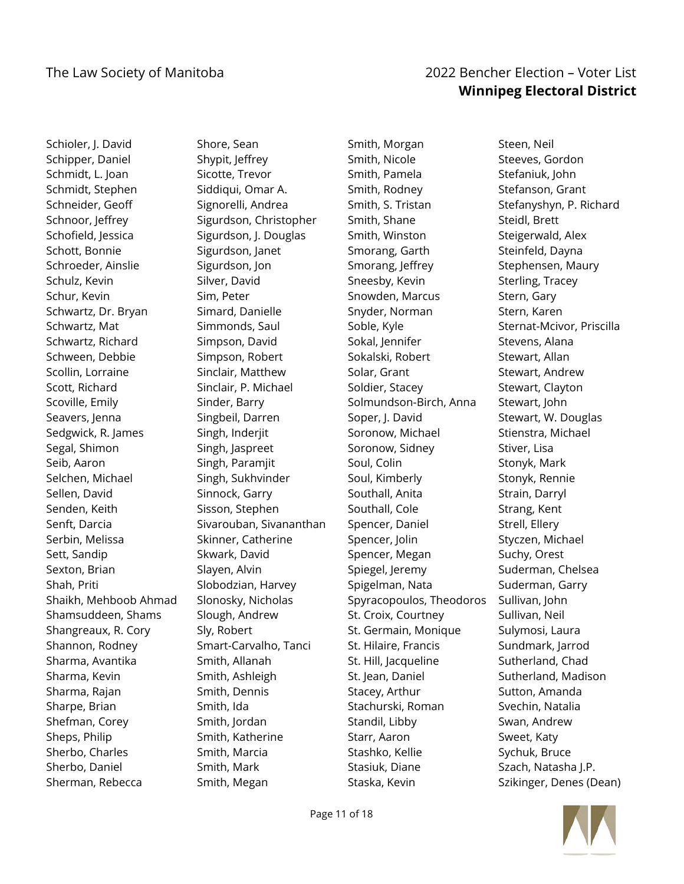Schioler, J. David Schipper, Daniel Schmidt, L. Joan Schmidt, Stephen Schneider, Geoff Schnoor, Jeffrey Schofield, Jessica Schott, Bonnie Schroeder, Ainslie Schulz, Kevin Schur, Kevin Schwartz, Dr. Bryan Schwartz, Mat Schwartz, Richard Schween, Debbie Scollin, Lorraine Scott, Richard Scoville, Emily Seavers, Jenna Sedgwick, R. James Segal, Shimon Seib, Aaron Selchen, Michael Sellen, David Senden, Keith Senft, Darcia Serbin, Melissa Sett, Sandip Sexton, Brian Shah, Priti Shaikh, Mehboob Ahmad Shamsuddeen, Shams Shangreaux, R. Cory Shannon, Rodney Sharma, Avantika Sharma, Kevin Sharma, Rajan Sharpe, Brian Shefman, Corey Sheps, Philip Sherbo, Charles Sherbo, Daniel Sherman, Rebecca

Shore, Sean Shypit, Jeffrey Sicotte, Trevor Siddiqui, Omar A. Signorelli, Andrea Sigurdson, Christopher Sigurdson, J. Douglas Sigurdson, Janet Sigurdson, Jon Silver, David Sim, Peter Simard, Danielle Simmonds, Saul Simpson, David Simpson, Robert Sinclair, Matthew Sinclair, P. Michael Sinder, Barry Singbeil, Darren Singh, Inderjit Singh, Jaspreet Singh, Paramjit Singh, Sukhvinder Sinnock, Garry Sisson, Stephen Sivarouban, Sivananthan Skinner, Catherine Skwark, David Slayen, Alvin Slobodzian, Harvey Slonosky, Nicholas Slough, Andrew Sly, Robert Smart-Carvalho, Tanci Smith, Allanah Smith, Ashleigh Smith, Dennis Smith, Ida Smith, Jordan Smith, Katherine Smith, Marcia Smith, Mark Smith, Megan

Smith, Morgan Smith, Nicole Smith, Pamela Smith, Rodney Smith, S. Tristan Smith, Shane Smith, Winston Smorang, Garth Smorang, Jeffrey Sneesby, Kevin Snowden, Marcus Snyder, Norman Soble, Kyle Sokal, Jennifer Sokalski, Robert Solar, Grant Soldier, Stacey Solmundson-Birch, Anna Soper, J. David Soronow, Michael Soronow, Sidney Soul, Colin Soul, Kimberly Southall, Anita Southall, Cole Spencer, Daniel Spencer, Jolin Spencer, Megan Spiegel, Jeremy Spigelman, Nata Spyracopoulos, Theodoros St. Croix, Courtney St. Germain, Monique St. Hilaire, Francis St. Hill, Jacqueline St. Jean, Daniel Stacey, Arthur Stachurski, Roman Standil, Libby Starr, Aaron Stashko, Kellie Stasiuk, Diane Staska, Kevin

Steen, Neil Steeves, Gordon Stefaniuk, John Stefanson, Grant Stefanyshyn, P. Richard Steidl, Brett Steigerwald, Alex Steinfeld, Dayna Stephensen, Maury Sterling, Tracey Stern, Gary Stern, Karen Sternat-Mcivor, Priscilla Stevens, Alana Stewart, Allan Stewart, Andrew Stewart, Clayton Stewart, John Stewart, W. Douglas Stienstra, Michael Stiver, Lisa Stonyk, Mark Stonyk, Rennie Strain, Darryl Strang, Kent Strell, Ellery Styczen, Michael Suchy, Orest Suderman, Chelsea Suderman, Garry Sullivan, John Sullivan, Neil Sulymosi, Laura Sundmark, Jarrod Sutherland, Chad Sutherland, Madison Sutton, Amanda Svechin, Natalia Swan, Andrew Sweet, Katy Sychuk, Bruce Szach, Natasha J.P. Szikinger, Denes (Dean)

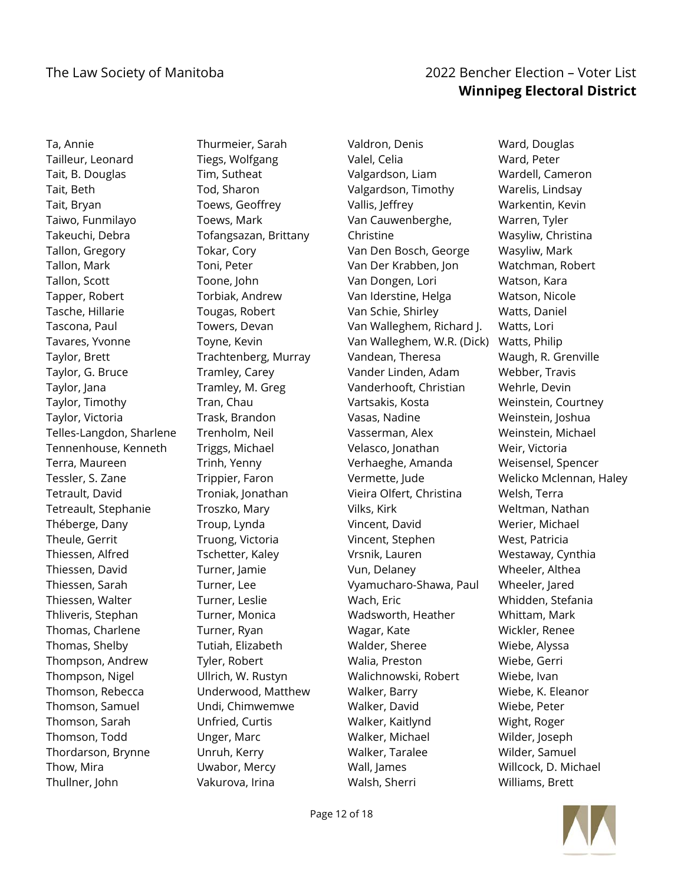Ta, Annie Tailleur, Leonard Tait, B. Douglas Tait, Beth Tait, Bryan Taiwo, Funmilayo Takeuchi, Debra Tallon, Gregory Tallon, Mark Tallon, Scott Tapper, Robert Tasche, Hillarie Tascona, Paul Tavares, Yvonne Taylor, Brett Taylor, G. Bruce Taylor, Jana Taylor, Timothy Taylor, Victoria Telles-Langdon, Sharlene Tennenhouse, Kenneth Terra, Maureen Tessler, S. Zane Tetrault, David Tetreault, Stephanie Théberge, Dany Theule, Gerrit Thiessen, Alfred Thiessen, David Thiessen, Sarah Thiessen, Walter Thliveris, Stephan Thomas, Charlene Thomas, Shelby Thompson, Andrew Thompson, Nigel Thomson, Rebecca Thomson, Samuel Thomson, Sarah Thomson, Todd Thordarson, Brynne Thow, Mira Thullner, John

Thurmeier, Sarah Tiegs, Wolfgang Tim, Sutheat Tod, Sharon Toews, Geoffrey Toews, Mark Tofangsazan, Brittany Tokar, Cory Toni, Peter Toone, John Torbiak, Andrew Tougas, Robert Towers, Devan Toyne, Kevin Trachtenberg, Murray Tramley, Carey Tramley, M. Greg Tran, Chau Trask, Brandon Trenholm, Neil Triggs, Michael Trinh, Yenny Trippier, Faron Troniak, Jonathan Troszko, Mary Troup, Lynda Truong, Victoria Tschetter, Kaley Turner, Jamie Turner, Lee Turner, Leslie Turner, Monica Turner, Ryan Tutiah, Elizabeth Tyler, Robert Ullrich, W. Rustyn Underwood, Matthew Undi, Chimwemwe Unfried, Curtis Unger, Marc Unruh, Kerry Uwabor, Mercy Vakurova, Irina

Valdron, Denis Valel, Celia Valgardson, Liam Valgardson, Timothy Vallis, Jeffrey Van Cauwenberghe, Christine Van Den Bosch, George Van Der Krabben, Jon Van Dongen, Lori Van Iderstine, Helga Van Schie, Shirley Van Walleghem, Richard J. Van Walleghem, W.R. (Dick) Vandean, Theresa Vander Linden, Adam Vanderhooft, Christian Vartsakis, Kosta Vasas, Nadine Vasserman, Alex Velasco, Jonathan Verhaeghe, Amanda Vermette, Jude Vieira Olfert, Christina Vilks, Kirk Vincent, David Vincent, Stephen Vrsnik, Lauren Vun, Delaney Vyamucharo-Shawa, Paul Wach, Eric Wadsworth, Heather Wagar, Kate Walder, Sheree Walia, Preston Walichnowski, Robert Walker, Barry Walker, David Walker, Kaitlynd Walker, Michael Walker, Taralee Wall, James Walsh, Sherri

Ward, Douglas Ward, Peter Wardell, Cameron Warelis, Lindsay Warkentin, Kevin Warren, Tyler Wasyliw, Christina Wasyliw, Mark Watchman, Robert Watson, Kara Watson, Nicole Watts, Daniel Watts, Lori Watts, Philip Waugh, R. Grenville Webber, Travis Wehrle, Devin Weinstein, Courtney Weinstein, Joshua Weinstein, Michael Weir, Victoria Weisensel, Spencer Welicko Mclennan, Haley Welsh, Terra Weltman, Nathan Werier, Michael West, Patricia Westaway, Cynthia Wheeler, Althea Wheeler, Jared Whidden, Stefania Whittam, Mark Wickler, Renee Wiebe, Alyssa Wiebe, Gerri Wiebe, Ivan Wiebe, K. Eleanor Wiebe, Peter Wight, Roger Wilder, Joseph Wilder, Samuel Willcock, D. Michael Williams, Brett

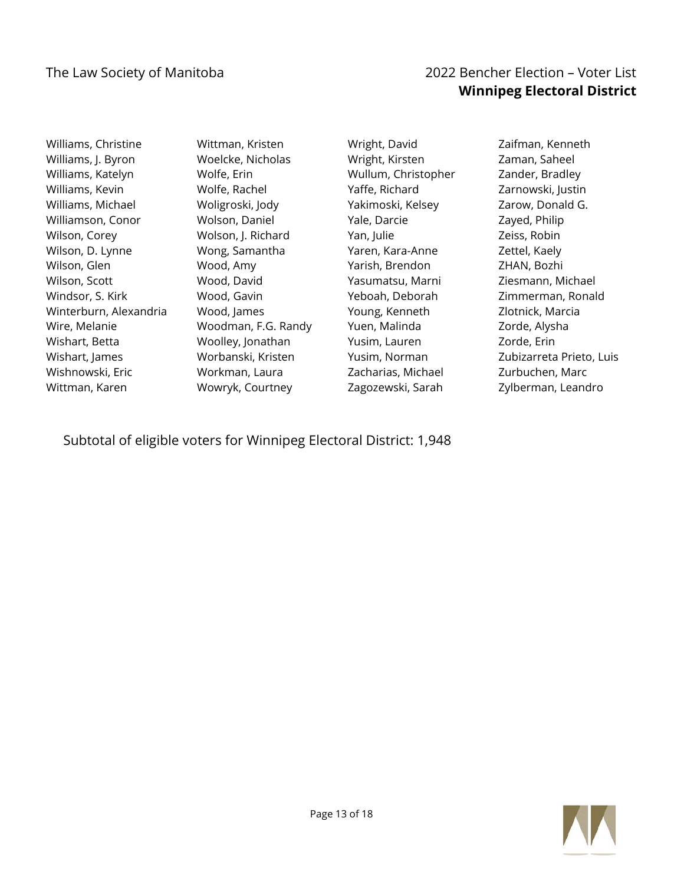Williams, Christine Williams, J. Byron Williams, Katelyn Williams, Kevin Williams, Michael Williamson, Conor Wilson, Corey Wilson, D. Lynne Wilson, Glen Wilson, Scott Windsor, S. Kirk Winterburn, Alexandria Wire, Melanie Wishart, Betta Wishart, James Wishnowski, Eric Wittman, Karen

Wittman, Kristen Woelcke, Nicholas Wolfe, Erin Wolfe, Rachel Woligroski, Jody Wolson, Daniel Wolson, J. Richard Wong, Samantha Wood, Amy Wood, David Wood, Gavin Wood, James Woodman, F.G. Randy Woolley, Jonathan Worbanski, Kristen Workman, Laura Wowryk, Courtney

Wright, David Wright, Kirsten Wullum, Christopher Yaffe, Richard Yakimoski, Kelsey Yale, Darcie Yan, Julie Yaren, Kara-Anne Yarish, Brendon Yasumatsu, Marni Yeboah, Deborah Young, Kenneth Yuen, Malinda Yusim, Lauren Yusim, Norman Zacharias, Michael Zagozewski, Sarah

Zaifman, Kenneth Zaman, Saheel Zander, Bradley Zarnowski, Justin Zarow, Donald G. Zayed, Philip Zeiss, Robin Zettel, Kaely ZHAN, Bozhi Ziesmann, Michael Zimmerman, Ronald Zlotnick, Marcia Zorde, Alysha Zorde, Erin Zubizarreta Prieto, Luis Zurbuchen, Marc Zylberman, Leandro

Subtotal of eligible voters for [Winnipeg Electoral District:](#page-1-0) 1,948

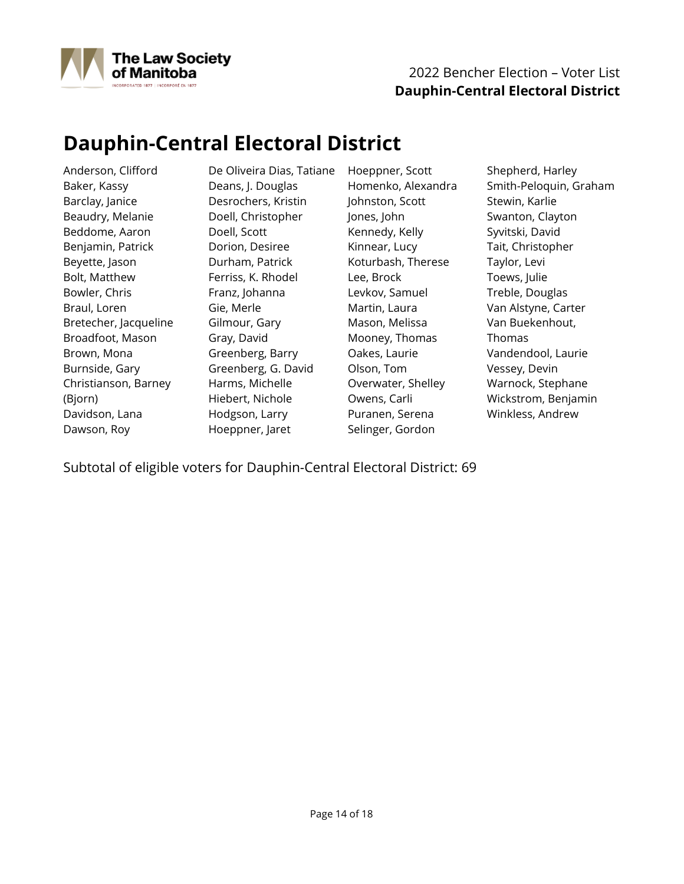

# <span id="page-13-0"></span>**Dauphin-Central Electoral District**

Anderson, Clifford Baker, Kassy Barclay, Janice Beaudry, Melanie Beddome, Aaron Benjamin, Patrick Beyette, Jason Bolt, Matthew Bowler, Chris Braul, Loren Bretecher, Jacqueline Broadfoot, Mason Brown, Mona Burnside, Gary Christianson, Barney (Bjorn) Davidson, Lana Dawson, Roy

De Oliveira Dias, Tatiane Deans, J. Douglas Desrochers, Kristin Doell, Christopher Doell, Scott Dorion, Desiree Durham, Patrick Ferriss, K. Rhodel Franz, Johanna Gie, Merle Gilmour, Gary Gray, David Greenberg, Barry Greenberg, G. David Harms, Michelle Hiebert, Nichole Hodgson, Larry Hoeppner, Jaret

Hoeppner, Scott Homenko, Alexandra Johnston, Scott Jones, John Kennedy, Kelly Kinnear, Lucy Koturbash, Therese Lee, Brock Levkov, Samuel Martin, Laura Mason, Melissa Mooney, Thomas Oakes, Laurie Olson, Tom Overwater, Shelley Owens, Carli Puranen, Serena Selinger, Gordon

Shepherd, Harley Smith-Peloquin, Graham Stewin, Karlie Swanton, Clayton Syvitski, David Tait, Christopher Taylor, Levi Toews, Julie Treble, Douglas Van Alstyne, Carter Van Buekenhout, Thomas Vandendool, Laurie Vessey, Devin Warnock, Stephane Wickstrom, Benjamin Winkless, Andrew

Subtotal of eligible voters for [Dauphin-Central Electoral District:](#page-13-0) 69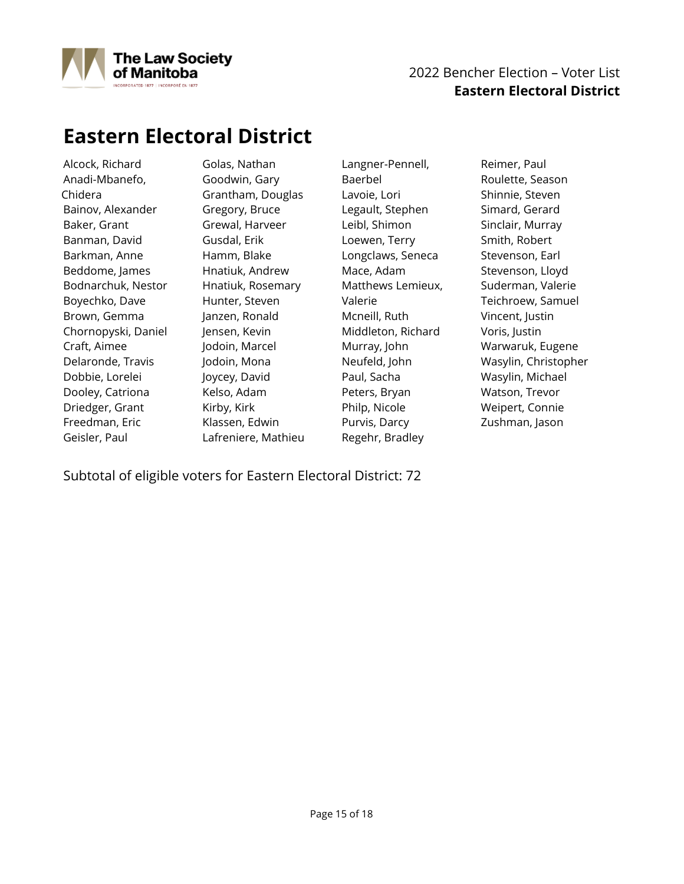

## <span id="page-14-0"></span>**Eastern Electoral District**

Alcock, Richard Anadi-Mbanefo, Chidera Bainov, Alexander Baker, Grant Banman, David Barkman, Anne Beddome, James Bodnarchuk, Nestor Boyechko, Dave Brown, Gemma Chornopyski, Daniel Craft, Aimee Delaronde, Travis Dobbie, Lorelei Dooley, Catriona Driedger, Grant Freedman, Eric Geisler, Paul

Golas, Nathan Goodwin, Gary Grantham, Douglas Gregory, Bruce Grewal, Harveer Gusdal, Erik Hamm, Blake Hnatiuk, Andrew Hnatiuk, Rosemary Hunter, Steven Janzen, Ronald Jensen, Kevin Jodoin, Marcel Jodoin, Mona Joycey, David Kelso, Adam Kirby, Kirk Klassen, Edwin Lafreniere, Mathieu Langner-Pennell, Baerbel Lavoie, Lori Legault, Stephen Leibl, Shimon Loewen, Terry Longclaws, Seneca Mace, Adam Matthews Lemieux, Valerie Mcneill, Ruth Middleton, Richard Murray, John Neufeld, John Paul, Sacha Peters, Bryan Philp, Nicole Purvis, Darcy Regehr, Bradley

Reimer, Paul Roulette, Season Shinnie, Steven Simard, Gerard Sinclair, Murray Smith, Robert Stevenson, Earl Stevenson, Lloyd Suderman, Valerie Teichroew, Samuel Vincent, Justin Voris, Justin Warwaruk, Eugene Wasylin, Christopher Wasylin, Michael Watson, Trevor Weipert, Connie Zushman, Jason

Subtotal of eligible voters for [Eastern Electoral District:](#page-14-0) 72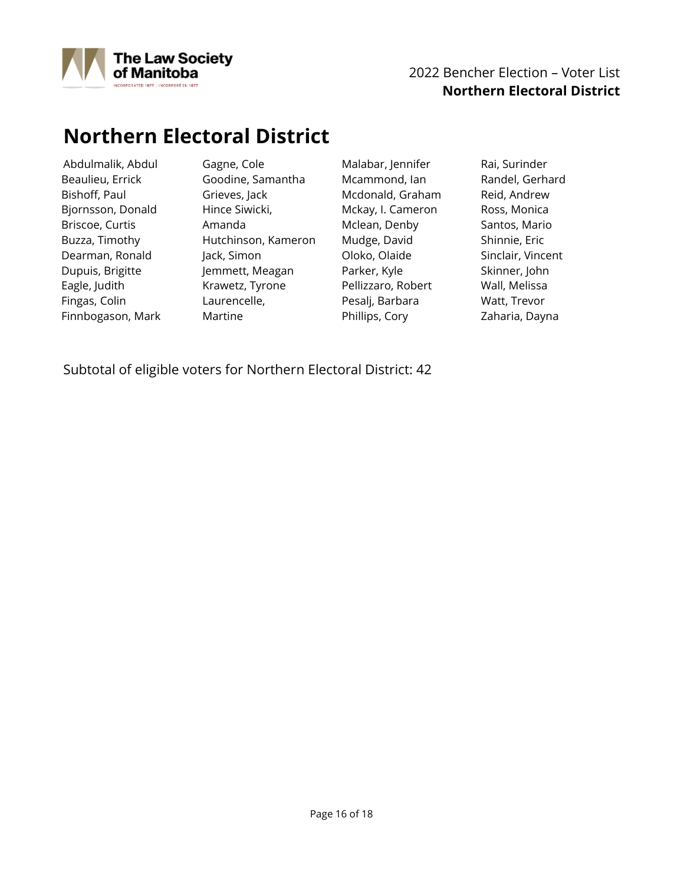

## <span id="page-15-0"></span>**Northern Electoral District**

Abdulmalik, Abdul Beaulieu, Errick Bishoff, Paul Bjornsson, Donald Briscoe, Curtis Buzza, Timothy Dearman, Ronald Dupuis, Brigitte Eagle, Judith Fingas, Colin Finnbogason, Mark

Gagne, Cole Goodine, Samantha Grieves, Jack Hince Siwicki, Amanda Hutchinson, Kameron Jack, Simon Jemmett, Meagan Krawetz, Tyrone Laurencelle, Martine

Malabar, Jennifer Mcammond, Ian Mcdonald, Graham Mckay, I. Cameron Mclean, Denby Mudge, David Oloko, Olaide Parker, Kyle Pellizzaro, Robert Pesalj, Barbara Phillips, Cory

Rai, Surinder Randel, Gerhard Reid, Andrew Ross, Monica Santos, Mario Shinnie, Eric Sinclair, Vincent Skinner, John Wall, Melissa Watt, Trevor Zaharia, Dayna

Subtotal of eligible voters for [Northern Electoral District:](#page-15-0) 42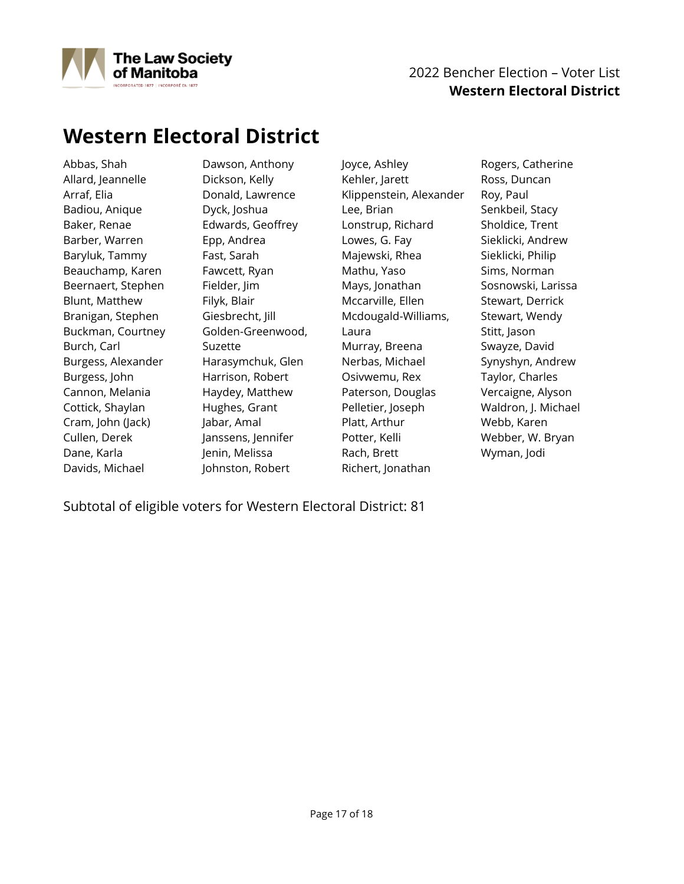

## <span id="page-16-0"></span>**Western Electoral District**

Abbas, Shah Allard, Jeannelle Arraf, Elia Badiou, Anique Baker, Renae Barber, Warren Baryluk, Tammy Beauchamp, Karen Beernaert, Stephen Blunt, Matthew Branigan, Stephen Buckman, Courtney Burch, Carl Burgess, Alexander Burgess, John Cannon, Melania Cottick, Shaylan Cram, John (Jack) Cullen, Derek Dane, Karla Davids, Michael

Dawson, Anthony Dickson, Kelly Donald, Lawrence Dyck, Joshua Edwards, Geoffrey Epp, Andrea Fast, Sarah Fawcett, Ryan Fielder, Jim Filyk, Blair Giesbrecht, Jill Golden-Greenwood, Suzette Harasymchuk, Glen Harrison, Robert Haydey, Matthew Hughes, Grant Jabar, Amal Janssens, Jennifer Jenin, Melissa Johnston, Robert

Joyce, Ashley Kehler, Jarett Klippenstein, Alexander Lee, Brian Lonstrup, Richard Lowes, G. Fay Majewski, Rhea Mathu, Yaso Mays, Jonathan Mccarville, Ellen Mcdougald-Williams, Laura Murray, Breena Nerbas, Michael Osivwemu, Rex Paterson, Douglas Pelletier, Joseph Platt, Arthur Potter, Kelli Rach, Brett Richert, Jonathan

Rogers, Catherine Ross, Duncan Roy, Paul Senkbeil, Stacy Sholdice, Trent Sieklicki, Andrew Sieklicki, Philip Sims, Norman Sosnowski, Larissa Stewart, Derrick Stewart, Wendy Stitt, Jason Swayze, David Synyshyn, Andrew Taylor, Charles Vercaigne, Alyson Waldron, J. Michael Webb, Karen Webber, W. Bryan Wyman, Jodi

Subtotal of eligible voters for [Western Electoral District:](#page-16-0) 81